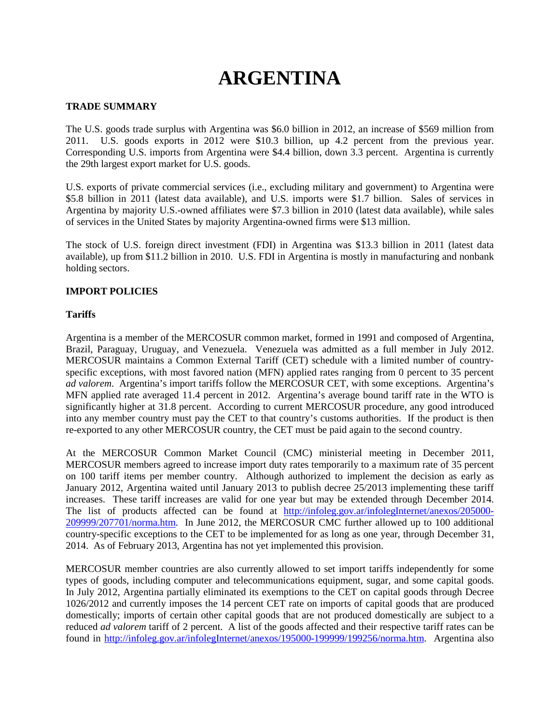# **ARGENTINA**

## **TRADE SUMMARY**

The U.S. goods trade surplus with Argentina was \$6.0 billion in 2012, an increase of \$569 million from 2011. U.S. goods exports in 2012 were \$10.3 billion, up 4.2 percent from the previous year. Corresponding U.S. imports from Argentina were \$4.4 billion, down 3.3 percent. Argentina is currently the 29th largest export market for U.S. goods.

U.S. exports of private commercial services (i.e., excluding military and government) to Argentina were \$5.8 billion in 2011 (latest data available), and U.S. imports were \$1.7 billion. Sales of services in Argentina by majority U.S.-owned affiliates were \$7.3 billion in 2010 (latest data available), while sales of services in the United States by majority Argentina-owned firms were \$13 million.

The stock of U.S. foreign direct investment (FDI) in Argentina was \$13.3 billion in 2011 (latest data available), up from \$11.2 billion in 2010. U.S. FDI in Argentina is mostly in manufacturing and nonbank holding sectors.

## **IMPORT POLICIES**

## **Tariffs**

Argentina is a member of the MERCOSUR common market, formed in 1991 and composed of Argentina, Brazil, Paraguay, Uruguay, and Venezuela. Venezuela was admitted as a full member in July 2012. MERCOSUR maintains a Common External Tariff (CET) schedule with a limited number of countryspecific exceptions, with most favored nation (MFN) applied rates ranging from 0 percent to 35 percent *ad valorem*. Argentina's import tariffs follow the MERCOSUR CET, with some exceptions. Argentina's MFN applied rate averaged 11.4 percent in 2012. Argentina's average bound tariff rate in the WTO is significantly higher at 31.8 percent. According to current MERCOSUR procedure, any good introduced into any member country must pay the CET to that country's customs authorities. If the product is then re-exported to any other MERCOSUR country, the CET must be paid again to the second country.

At the MERCOSUR Common Market Council (CMC) ministerial meeting in December 2011, MERCOSUR members agreed to increase import duty rates temporarily to a maximum rate of 35 percent on 100 tariff items per member country. Although authorized to implement the decision as early as January 2012, Argentina waited until January 2013 to publish decree 25/2013 implementing these tariff increases. These tariff increases are valid for one year but may be extended through December 2014. The list of products affected can be found at [http://infoleg.gov.ar/infolegInternet/anexos/205000-](http://infoleg.gov.ar/infolegInternet/anexos/205000-209999/207701/norma.htm) [209999/207701/norma.htm.](http://infoleg.gov.ar/infolegInternet/anexos/205000-209999/207701/norma.htm) In June 2012, the MERCOSUR CMC further allowed up to 100 additional country-specific exceptions to the CET to be implemented for as long as one year, through December 31, 2014. As of February 2013, Argentina has not yet implemented this provision.

MERCOSUR member countries are also currently allowed to set import tariffs independently for some types of goods, including computer and telecommunications equipment, sugar, and some capital goods. In July 2012, Argentina partially eliminated its exemptions to the CET on capital goods through Decree 1026/2012 and currently imposes the 14 percent CET rate on imports of capital goods that are produced domestically; imports of certain other capital goods that are not produced domestically are subject to a reduced *ad valorem* tariff of 2 percent. A list of the goods affected and their respective tariff rates can be found in [http://infoleg.gov.ar/infolegInternet/anexos/195000-199999/199256/norma.htm.](http://infoleg.gov.ar/infolegInternet/anexos/195000-199999/199256/norma.htm) Argentina also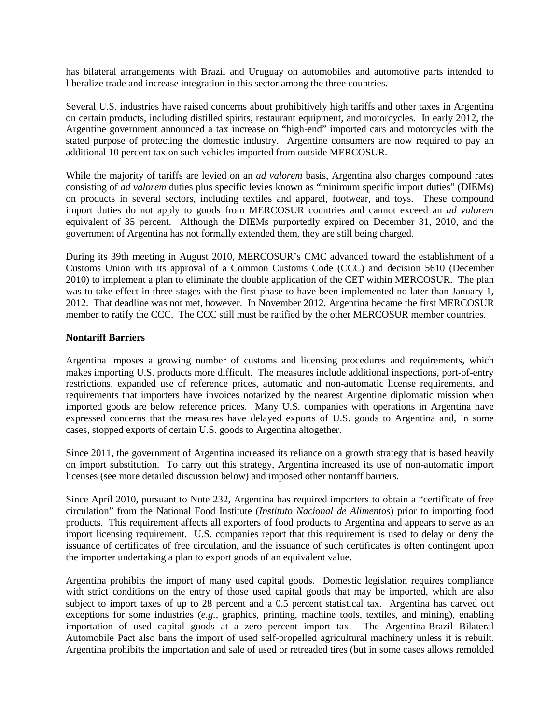has bilateral arrangements with Brazil and Uruguay on automobiles and automotive parts intended to liberalize trade and increase integration in this sector among the three countries.

Several U.S. industries have raised concerns about prohibitively high tariffs and other taxes in Argentina on certain products, including distilled spirits, restaurant equipment, and motorcycles. In early 2012, the Argentine government announced a tax increase on "high-end" imported cars and motorcycles with the stated purpose of protecting the domestic industry. Argentine consumers are now required to pay an additional 10 percent tax on such vehicles imported from outside MERCOSUR.

While the majority of tariffs are levied on an *ad valorem* basis, Argentina also charges compound rates consisting of *ad valorem* duties plus specific levies known as "minimum specific import duties" (DIEMs) on products in several sectors, including textiles and apparel, footwear, and toys. These compound import duties do not apply to goods from MERCOSUR countries and cannot exceed an *ad valorem* equivalent of 35 percent. Although the DIEMs purportedly expired on December 31, 2010, and the government of Argentina has not formally extended them, they are still being charged.

During its 39th meeting in August 2010, MERCOSUR's CMC advanced toward the establishment of a Customs Union with its approval of a Common Customs Code (CCC) and decision 5610 (December 2010) to implement a plan to eliminate the double application of the CET within MERCOSUR. The plan was to take effect in three stages with the first phase to have been implemented no later than January 1, 2012. That deadline was not met, however. In November 2012, Argentina became the first MERCOSUR member to ratify the CCC. The CCC still must be ratified by the other MERCOSUR member countries.

## **Nontariff Barriers**

Argentina imposes a growing number of customs and licensing procedures and requirements, which makes importing U.S. products more difficult. The measures include additional inspections, port-of-entry restrictions, expanded use of reference prices, automatic and non-automatic license requirements, and requirements that importers have invoices notarized by the nearest Argentine diplomatic mission when imported goods are below reference prices. Many U.S. companies with operations in Argentina have expressed concerns that the measures have delayed exports of U.S. goods to Argentina and, in some cases, stopped exports of certain U.S. goods to Argentina altogether.

Since 2011, the government of Argentina increased its reliance on a growth strategy that is based heavily on import substitution. To carry out this strategy, Argentina increased its use of non-automatic import licenses (see more detailed discussion below) and imposed other nontariff barriers.

Since April 2010, pursuant to Note 232, Argentina has required importers to obtain a "certificate of free circulation" from the National Food Institute (*Instituto Nacional de Alimentos*) prior to importing food products. This requirement affects all exporters of food products to Argentina and appears to serve as an import licensing requirement. U.S. companies report that this requirement is used to delay or deny the issuance of certificates of free circulation, and the issuance of such certificates is often contingent upon the importer undertaking a plan to export goods of an equivalent value.

Argentina prohibits the import of many used capital goods. Domestic legislation requires compliance with strict conditions on the entry of those used capital goods that may be imported, which are also subject to import taxes of up to 28 percent and a 0.5 percent statistical tax. Argentina has carved out exceptions for some industries (*e.g.,* graphics, printing, machine tools, textiles, and mining), enabling importation of used capital goods at a zero percent import tax. The Argentina-Brazil Bilateral Automobile Pact also bans the import of used self-propelled agricultural machinery unless it is rebuilt. Argentina prohibits the importation and sale of used or retreaded tires (but in some cases allows remolded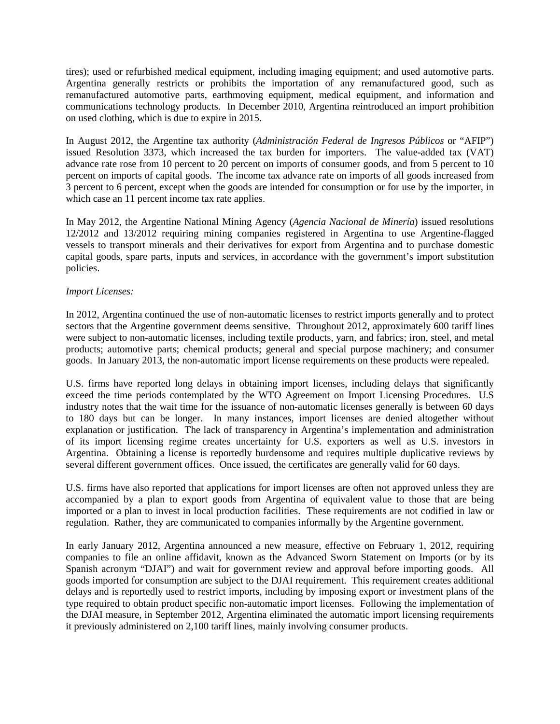tires); used or refurbished medical equipment, including imaging equipment; and used automotive parts. Argentina generally restricts or prohibits the importation of any remanufactured good, such as remanufactured automotive parts, earthmoving equipment, medical equipment, and information and communications technology products. In December 2010, Argentina reintroduced an import prohibition on used clothing, which is due to expire in 2015.

In August 2012, the Argentine tax authority (*Administración Federal de Ingresos Públicos* or "AFIP") issued Resolution 3373, which increased the tax burden for importers. The value-added tax (VAT) advance rate rose from 10 percent to 20 percent on imports of consumer goods, and from 5 percent to 10 percent on imports of capital goods. The income tax advance rate on imports of all goods increased from 3 percent to 6 percent, except when the goods are intended for consumption or for use by the importer, in which case an 11 percent income tax rate applies.

In May 2012, the Argentine National Mining Agency (*Agencia Nacional de Minería*) issued resolutions 12/2012 and 13/2012 requiring mining companies registered in Argentina to use Argentine-flagged vessels to transport minerals and their derivatives for export from Argentina and to purchase domestic capital goods, spare parts, inputs and services, in accordance with the government's import substitution policies.

# *Import Licenses:*

In 2012, Argentina continued the use of non-automatic licenses to restrict imports generally and to protect sectors that the Argentine government deems sensitive. Throughout 2012, approximately 600 tariff lines were subject to non-automatic licenses, including textile products, yarn, and fabrics; iron, steel, and metal products; automotive parts; chemical products; general and special purpose machinery; and consumer goods. In January 2013, the non-automatic import license requirements on these products were repealed.

U.S. firms have reported long delays in obtaining import licenses, including delays that significantly exceed the time periods contemplated by the WTO Agreement on Import Licensing Procedures. U.S industry notes that the wait time for the issuance of non-automatic licenses generally is between 60 days to 180 days but can be longer. In many instances, import licenses are denied altogether without explanation or justification. The lack of transparency in Argentina's implementation and administration of its import licensing regime creates uncertainty for U.S. exporters as well as U.S. investors in Argentina. Obtaining a license is reportedly burdensome and requires multiple duplicative reviews by several different government offices. Once issued, the certificates are generally valid for 60 days.

U.S. firms have also reported that applications for import licenses are often not approved unless they are accompanied by a plan to export goods from Argentina of equivalent value to those that are being imported or a plan to invest in local production facilities. These requirements are not codified in law or regulation. Rather, they are communicated to companies informally by the Argentine government.

In early January 2012, Argentina announced a new measure, effective on February 1, 2012, requiring companies to file an online affidavit, known as the Advanced Sworn Statement on Imports (or by its Spanish acronym "DJAI") and wait for government review and approval before importing goods. All goods imported for consumption are subject to the DJAI requirement. This requirement creates additional delays and is reportedly used to restrict imports, including by imposing export or investment plans of the type required to obtain product specific non-automatic import licenses. Following the implementation of the DJAI measure, in September 2012, Argentina eliminated the automatic import licensing requirements it previously administered on 2,100 tariff lines, mainly involving consumer products.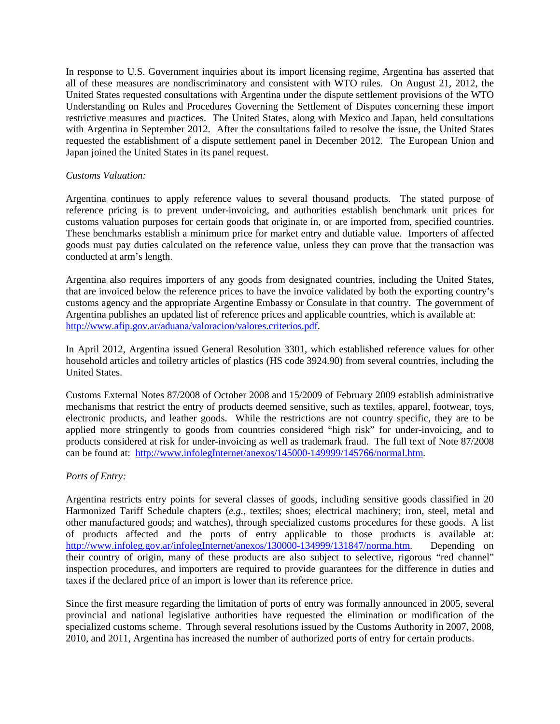In response to U.S. Government inquiries about its import licensing regime, Argentina has asserted that all of these measures are nondiscriminatory and consistent with WTO rules. On August 21, 2012, the United States requested consultations with Argentina under the dispute settlement provisions of the WTO Understanding on Rules and Procedures Governing the Settlement of Disputes concerning these import restrictive measures and practices. The United States, along with Mexico and Japan, held consultations with Argentina in September 2012. After the consultations failed to resolve the issue, the United States requested the establishment of a dispute settlement panel in December 2012. The European Union and Japan joined the United States in its panel request.

## *Customs Valuation:*

Argentina continues to apply reference values to several thousand products. The stated purpose of reference pricing is to prevent under-invoicing, and authorities establish benchmark unit prices for customs valuation purposes for certain goods that originate in, or are imported from, specified countries. These benchmarks establish a minimum price for market entry and dutiable value. Importers of affected goods must pay duties calculated on the reference value, unless they can prove that the transaction was conducted at arm's length.

Argentina also requires importers of any goods from designated countries, including the United States, that are invoiced below the reference prices to have the invoice validated by both the exporting country's customs agency and the appropriate Argentine Embassy or Consulate in that country. The government of Argentina publishes an updated list of reference prices and applicable countries, which is available at: [http://www.afip.gov.ar/aduana/valoracion/valores.criterios.pdf.](http://www.afip.gov.ar/aduana/valoracion/valores.criterios.pdf)

In April 2012, Argentina issued General Resolution 3301, which established reference values for other household articles and toiletry articles of plastics (HS code 3924.90) from several countries, including the United States.

Customs External Notes 87/2008 of October 2008 and 15/2009 of February 2009 establish administrative mechanisms that restrict the entry of products deemed sensitive, such as textiles, apparel, footwear, toys, electronic products, and leather goods. While the restrictions are not country specific, they are to be applied more stringently to goods from countries considered "high risk" for under-invoicing, and to products considered at risk for under-invoicing as well as trademark fraud. The full text of Note 87/2008 can be found at: [http://www.infolegInternet/anexos/145000-149999/145766/normal.htm.](http://www.infoleginternet/anexos/145000-149999/145766/normal.htm)

## *Ports of Entry:*

Argentina restricts entry points for several classes of goods, including sensitive goods classified in 20 Harmonized Tariff Schedule chapters (*e.g.,* textiles; shoes; electrical machinery; iron, steel, metal and other manufactured goods; and watches), through specialized customs procedures for these goods. A list of products affected and the ports of entry applicable to those products is available at: [http://www.infoleg.gov.ar/infolegInternet/anexos/130000-134999/131847/norma.htm.](http://www.infoleg.gov.ar/infolegInternet/anexos/130000-134999/131847/norma.htm) Depending on their country of origin, many of these products are also subject to selective, rigorous "red channel" inspection procedures, and importers are required to provide guarantees for the difference in duties and taxes if the declared price of an import is lower than its reference price.

Since the first measure regarding the limitation of ports of entry was formally announced in 2005, several provincial and national legislative authorities have requested the elimination or modification of the specialized customs scheme. Through several resolutions issued by the Customs Authority in 2007, 2008, 2010, and 2011, Argentina has increased the number of authorized ports of entry for certain products.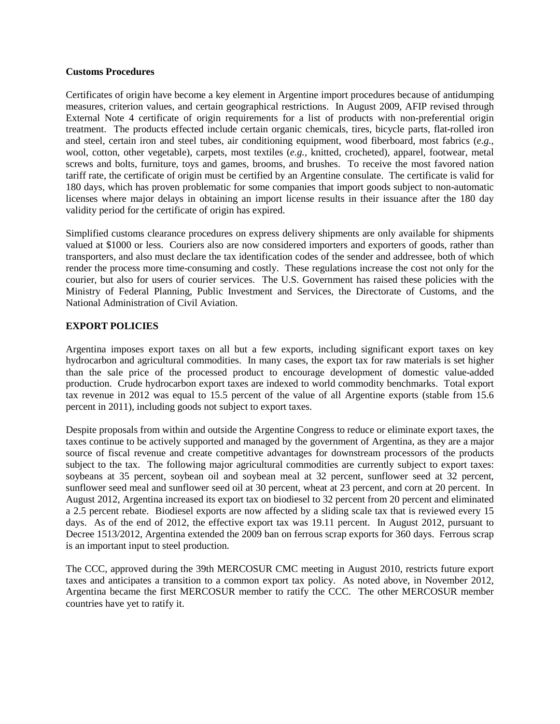#### **Customs Procedures**

Certificates of origin have become a key element in Argentine import procedures because of antidumping measures, criterion values, and certain geographical restrictions. In August 2009, AFIP revised through External Note 4 certificate of origin requirements for a list of products with non-preferential origin treatment. The products effected include certain organic chemicals, tires, bicycle parts, flat-rolled iron and steel, certain iron and steel tubes, air conditioning equipment, wood fiberboard, most fabrics (*e.g.,* wool, cotton, other vegetable), carpets, most textiles (*e.g.,* knitted, crocheted), apparel, footwear, metal screws and bolts, furniture, toys and games, brooms, and brushes. To receive the most favored nation tariff rate, the certificate of origin must be certified by an Argentine consulate. The certificate is valid for 180 days, which has proven problematic for some companies that import goods subject to non-automatic licenses where major delays in obtaining an import license results in their issuance after the 180 day validity period for the certificate of origin has expired.

Simplified customs clearance procedures on express delivery shipments are only available for shipments valued at \$1000 or less. Couriers also are now considered importers and exporters of goods, rather than transporters, and also must declare the tax identification codes of the sender and addressee, both of which render the process more time-consuming and costly. These regulations increase the cost not only for the courier, but also for users of courier services. The U.S. Government has raised these policies with the Ministry of Federal Planning, Public Investment and Services, the Directorate of Customs, and the National Administration of Civil Aviation.

# **EXPORT POLICIES**

Argentina imposes export taxes on all but a few exports, including significant export taxes on key hydrocarbon and agricultural commodities. In many cases, the export tax for raw materials is set higher than the sale price of the processed product to encourage development of domestic value-added production. Crude hydrocarbon export taxes are indexed to world commodity benchmarks. Total export tax revenue in 2012 was equal to 15.5 percent of the value of all Argentine exports (stable from 15.6 percent in 2011), including goods not subject to export taxes.

Despite proposals from within and outside the Argentine Congress to reduce or eliminate export taxes, the taxes continue to be actively supported and managed by the government of Argentina, as they are a major source of fiscal revenue and create competitive advantages for downstream processors of the products subject to the tax. The following major agricultural commodities are currently subject to export taxes: soybeans at 35 percent, soybean oil and soybean meal at 32 percent, sunflower seed at 32 percent, sunflower seed meal and sunflower seed oil at 30 percent, wheat at 23 percent, and corn at 20 percent. In August 2012, Argentina increased its export tax on biodiesel to 32 percent from 20 percent and eliminated a 2.5 percent rebate. Biodiesel exports are now affected by a sliding scale tax that is reviewed every 15 days. As of the end of 2012, the effective export tax was 19.11 percent. In August 2012, pursuant to Decree 1513/2012, Argentina extended the 2009 ban on ferrous scrap exports for 360 days. Ferrous scrap is an important input to steel production.

The CCC, approved during the 39th MERCOSUR CMC meeting in August 2010, restricts future export taxes and anticipates a transition to a common export tax policy. As noted above, in November 2012, Argentina became the first MERCOSUR member to ratify the CCC. The other MERCOSUR member countries have yet to ratify it.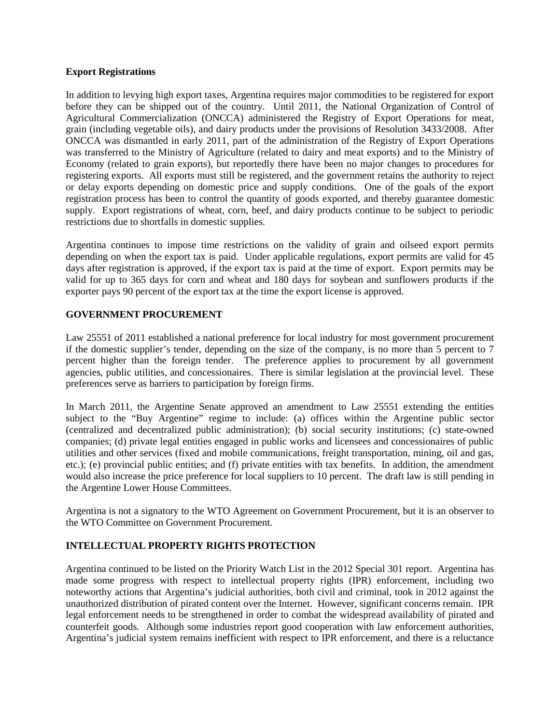#### **Export Registrations**

In addition to levying high export taxes, Argentina requires major commodities to be registered for export before they can be shipped out of the country. Until 2011, the National Organization of Control of Agricultural Commercialization (ONCCA) administered the Registry of Export Operations for meat, grain (including vegetable oils), and dairy products under the provisions of Resolution 3433/2008. After ONCCA was dismantled in early 2011, part of the administration of the Registry of Export Operations was transferred to the Ministry of Agriculture (related to dairy and meat exports) and to the Ministry of Economy (related to grain exports), but reportedly there have been no major changes to procedures for registering exports. All exports must still be registered, and the government retains the authority to reject or delay exports depending on domestic price and supply conditions. One of the goals of the export registration process has been to control the quantity of goods exported, and thereby guarantee domestic supply. Export registrations of wheat, corn, beef, and dairy products continue to be subject to periodic restrictions due to shortfalls in domestic supplies.

Argentina continues to impose time restrictions on the validity of grain and oilseed export permits depending on when the export tax is paid. Under applicable regulations, export permits are valid for 45 days after registration is approved, if the export tax is paid at the time of export. Export permits may be valid for up to 365 days for corn and wheat and 180 days for soybean and sunflowers products if the exporter pays 90 percent of the export tax at the time the export license is approved.

## **GOVERNMENT PROCUREMENT**

Law 25551 of 2011 established a national preference for local industry for most government procurement if the domestic supplier's tender, depending on the size of the company, is no more than 5 percent to 7 percent higher than the foreign tender. The preference applies to procurement by all government agencies, public utilities, and concessionaires. There is similar legislation at the provincial level. These preferences serve as barriers to participation by foreign firms.

In March 2011, the Argentine Senate approved an amendment to Law 25551 extending the entities subject to the "Buy Argentine" regime to include: (a) offices within the Argentine public sector (centralized and decentralized public administration); (b) social security institutions; (c) state-owned companies; (d) private legal entities engaged in public works and licensees and concessionaires of public utilities and other services (fixed and mobile communications, freight transportation, mining, oil and gas, etc.); (e) provincial public entities; and (f) private entities with tax benefits. In addition, the amendment would also increase the price preference for local suppliers to 10 percent. The draft law is still pending in the Argentine Lower House Committees.

Argentina is not a signatory to the WTO Agreement on Government Procurement, but it is an observer to the WTO Committee on Government Procurement.

# **INTELLECTUAL PROPERTY RIGHTS PROTECTION**

Argentina continued to be listed on the Priority Watch List in the 2012 Special 301 report. Argentina has made some progress with respect to intellectual property rights (IPR) enforcement, including two noteworthy actions that Argentina's judicial authorities, both civil and criminal, took in 2012 against the unauthorized distribution of pirated content over the Internet. However, significant concerns remain. IPR legal enforcement needs to be strengthened in order to combat the widespread availability of pirated and counterfeit goods. Although some industries report good cooperation with law enforcement authorities, Argentina's judicial system remains inefficient with respect to IPR enforcement, and there is a reluctance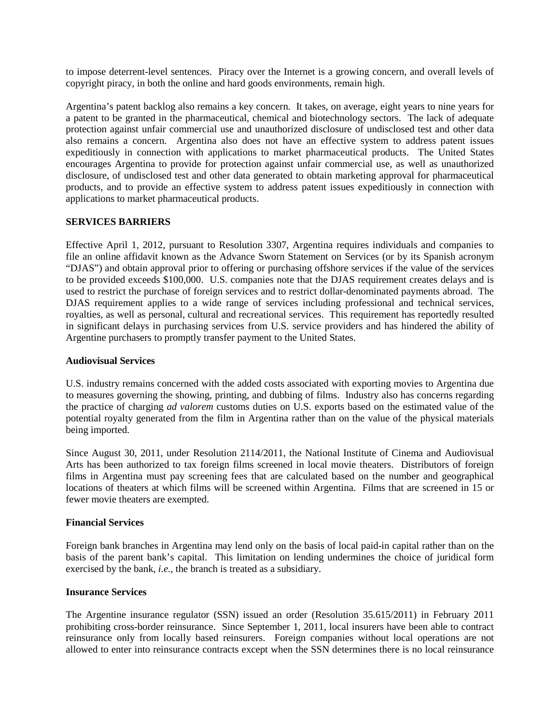to impose deterrent-level sentences. Piracy over the Internet is a growing concern, and overall levels of copyright piracy, in both the online and hard goods environments, remain high.

Argentina's patent backlog also remains a key concern. It takes, on average, eight years to nine years for a patent to be granted in the pharmaceutical, chemical and biotechnology sectors. The lack of adequate protection against unfair commercial use and unauthorized disclosure of undisclosed test and other data also remains a concern. Argentina also does not have an effective system to address patent issues expeditiously in connection with applications to market pharmaceutical products. The United States encourages Argentina to provide for protection against unfair commercial use, as well as unauthorized disclosure, of undisclosed test and other data generated to obtain marketing approval for pharmaceutical products, and to provide an effective system to address patent issues expeditiously in connection with applications to market pharmaceutical products.

## **SERVICES BARRIERS**

Effective April 1, 2012, pursuant to Resolution 3307, Argentina requires individuals and companies to file an online affidavit known as the Advance Sworn Statement on Services (or by its Spanish acronym "DJAS") and obtain approval prior to offering or purchasing offshore services if the value of the services to be provided exceeds \$100,000. U.S. companies note that the DJAS requirement creates delays and is used to restrict the purchase of foreign services and to restrict dollar-denominated payments abroad. The DJAS requirement applies to a wide range of services including professional and technical services, royalties, as well as personal, cultural and recreational services. This requirement has reportedly resulted in significant delays in purchasing services from U.S. service providers and has hindered the ability of Argentine purchasers to promptly transfer payment to the United States.

#### **Audiovisual Services**

U.S. industry remains concerned with the added costs associated with exporting movies to Argentina due to measures governing the showing, printing, and dubbing of films. Industry also has concerns regarding the practice of charging *ad valorem* customs duties on U.S. exports based on the estimated value of the potential royalty generated from the film in Argentina rather than on the value of the physical materials being imported.

Since August 30, 2011, under Resolution 2114/2011, the National Institute of Cinema and Audiovisual Arts has been authorized to tax foreign films screened in local movie theaters. Distributors of foreign films in Argentina must pay screening fees that are calculated based on the number and geographical locations of theaters at which films will be screened within Argentina. Films that are screened in 15 or fewer movie theaters are exempted.

#### **Financial Services**

Foreign bank branches in Argentina may lend only on the basis of local paid-in capital rather than on the basis of the parent bank's capital. This limitation on lending undermines the choice of juridical form exercised by the bank, *i.e.,* the branch is treated as a subsidiary.

#### **Insurance Services**

The Argentine insurance regulator (SSN) issued an order (Resolution 35.615/2011) in February 2011 prohibiting cross-border reinsurance. Since September 1, 2011, local insurers have been able to contract reinsurance only from locally based reinsurers. Foreign companies without local operations are not allowed to enter into reinsurance contracts except when the SSN determines there is no local reinsurance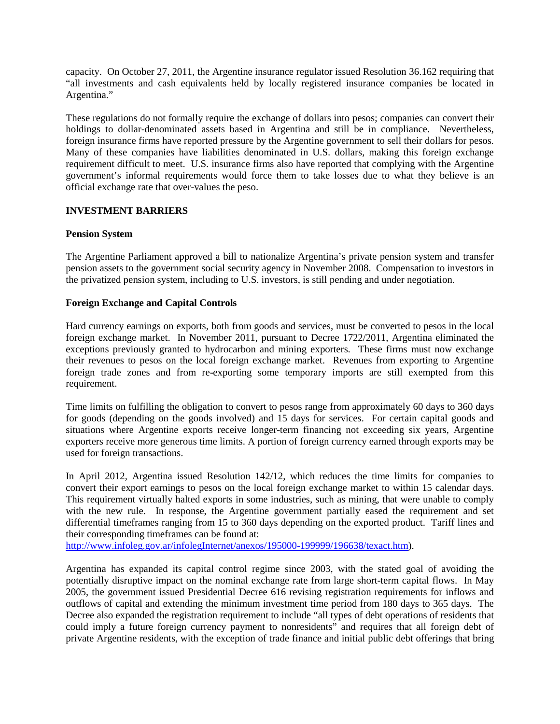capacity. On October 27, 2011, the Argentine insurance regulator issued Resolution 36.162 requiring that "all investments and cash equivalents held by locally registered insurance companies be located in Argentina."

These regulations do not formally require the exchange of dollars into pesos; companies can convert their holdings to dollar-denominated assets based in Argentina and still be in compliance. Nevertheless, foreign insurance firms have reported pressure by the Argentine government to sell their dollars for pesos. Many of these companies have liabilities denominated in U.S. dollars, making this foreign exchange requirement difficult to meet. U.S. insurance firms also have reported that complying with the Argentine government's informal requirements would force them to take losses due to what they believe is an official exchange rate that over-values the peso.

# **INVESTMENT BARRIERS**

# **Pension System**

The Argentine Parliament approved a bill to nationalize Argentina's private pension system and transfer pension assets to the government social security agency in November 2008. Compensation to investors in the privatized pension system, including to U.S. investors, is still pending and under negotiation.

## **Foreign Exchange and Capital Controls**

Hard currency earnings on exports, both from goods and services, must be converted to pesos in the local foreign exchange market. In November 2011, pursuant to Decree 1722/2011, Argentina eliminated the exceptions previously granted to hydrocarbon and mining exporters. These firms must now exchange their revenues to pesos on the local foreign exchange market. Revenues from exporting to Argentine foreign trade zones and from re-exporting some temporary imports are still exempted from this requirement.

Time limits on fulfilling the obligation to convert to pesos range from approximately 60 days to 360 days for goods (depending on the goods involved) and 15 days for services. For certain capital goods and situations where Argentine exports receive longer-term financing not exceeding six years, Argentine exporters receive more generous time limits. A portion of foreign currency earned through exports may be used for foreign transactions.

In April 2012, Argentina issued Resolution 142/12, which reduces the time limits for companies to convert their export earnings to pesos on the local foreign exchange market to within 15 calendar days. This requirement virtually halted exports in some industries, such as mining, that were unable to comply with the new rule. In response, the Argentine government partially eased the requirement and set differential timeframes ranging from 15 to 360 days depending on the exported product. Tariff lines and their corresponding timeframes can be found at:

[http://www.infoleg.gov.ar/infolegInternet/anexos/195000-199999/196638/texact.htm\)](http://www.infoleg.gov.ar/infolegInternet/anexos/195000-199999/196638/texact.htm).

Argentina has expanded its capital control regime since 2003, with the stated goal of avoiding the potentially disruptive impact on the nominal exchange rate from large short-term capital flows. In May 2005, the government issued Presidential Decree 616 revising registration requirements for inflows and outflows of capital and extending the minimum investment time period from 180 days to 365 days. The Decree also expanded the registration requirement to include "all types of debt operations of residents that could imply a future foreign currency payment to nonresidents" and requires that all foreign debt of private Argentine residents, with the exception of trade finance and initial public debt offerings that bring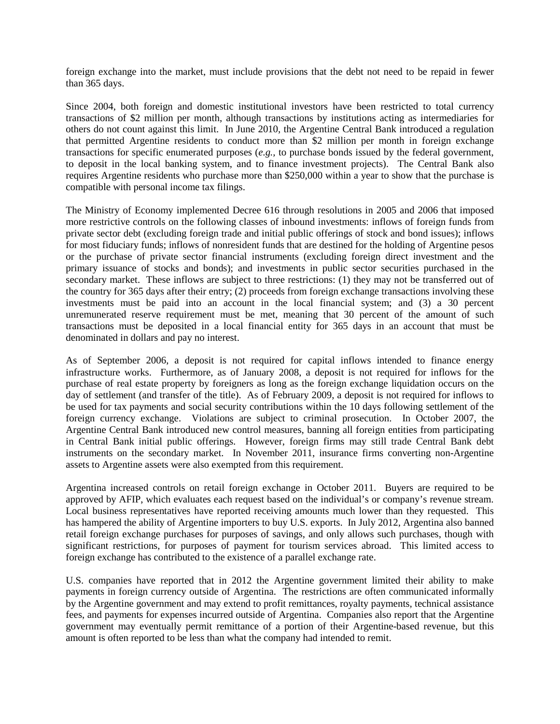foreign exchange into the market, must include provisions that the debt not need to be repaid in fewer than 365 days.

Since 2004, both foreign and domestic institutional investors have been restricted to total currency transactions of \$2 million per month, although transactions by institutions acting as intermediaries for others do not count against this limit. In June 2010, the Argentine Central Bank introduced a regulation that permitted Argentine residents to conduct more than \$2 million per month in foreign exchange transactions for specific enumerated purposes (*e.g.,* to purchase bonds issued by the federal government, to deposit in the local banking system, and to finance investment projects). The Central Bank also requires Argentine residents who purchase more than \$250,000 within a year to show that the purchase is compatible with personal income tax filings.

The Ministry of Economy implemented Decree 616 through resolutions in 2005 and 2006 that imposed more restrictive controls on the following classes of inbound investments: inflows of foreign funds from private sector debt (excluding foreign trade and initial public offerings of stock and bond issues); inflows for most fiduciary funds; inflows of nonresident funds that are destined for the holding of Argentine pesos or the purchase of private sector financial instruments (excluding foreign direct investment and the primary issuance of stocks and bonds); and investments in public sector securities purchased in the secondary market. These inflows are subject to three restrictions: (1) they may not be transferred out of the country for 365 days after their entry; (2) proceeds from foreign exchange transactions involving these investments must be paid into an account in the local financial system; and (3) a 30 percent unremunerated reserve requirement must be met, meaning that 30 percent of the amount of such transactions must be deposited in a local financial entity for 365 days in an account that must be denominated in dollars and pay no interest.

As of September 2006, a deposit is not required for capital inflows intended to finance energy infrastructure works. Furthermore, as of January 2008, a deposit is not required for inflows for the purchase of real estate property by foreigners as long as the foreign exchange liquidation occurs on the day of settlement (and transfer of the title). As of February 2009, a deposit is not required for inflows to be used for tax payments and social security contributions within the 10 days following settlement of the foreign currency exchange. Violations are subject to criminal prosecution. In October 2007, the Argentine Central Bank introduced new control measures, banning all foreign entities from participating in Central Bank initial public offerings. However, foreign firms may still trade Central Bank debt instruments on the secondary market. In November 2011, insurance firms converting non-Argentine assets to Argentine assets were also exempted from this requirement.

Argentina increased controls on retail foreign exchange in October 2011. Buyers are required to be approved by AFIP, which evaluates each request based on the individual's or company's revenue stream. Local business representatives have reported receiving amounts much lower than they requested. This has hampered the ability of Argentine importers to buy U.S. exports. In July 2012, Argentina also banned retail foreign exchange purchases for purposes of savings, and only allows such purchases, though with significant restrictions, for purposes of payment for tourism services abroad. This limited access to foreign exchange has contributed to the existence of a parallel exchange rate.

U.S. companies have reported that in 2012 the Argentine government limited their ability to make payments in foreign currency outside of Argentina. The restrictions are often communicated informally by the Argentine government and may extend to profit remittances, royalty payments, technical assistance fees, and payments for expenses incurred outside of Argentina. Companies also report that the Argentine government may eventually permit remittance of a portion of their Argentine-based revenue, but this amount is often reported to be less than what the company had intended to remit.